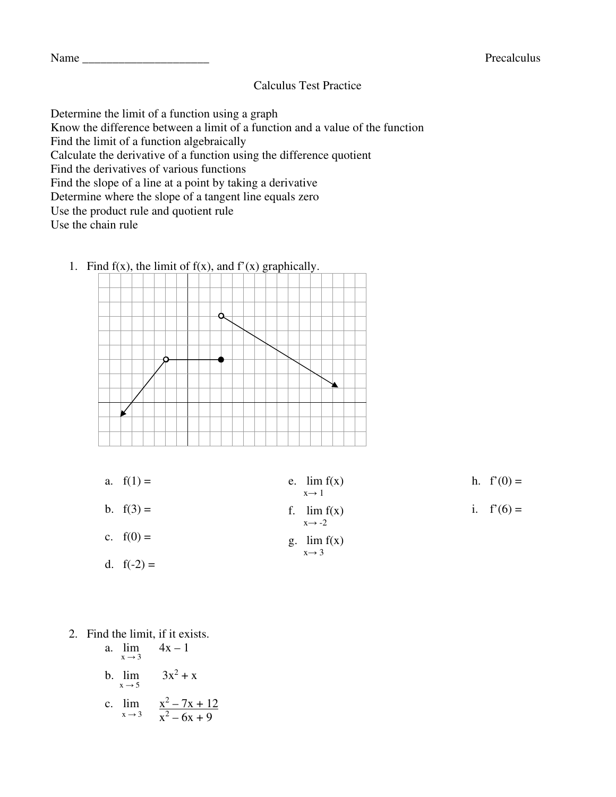## Calculus Test Practice

Determine the limit of a function using a graph

Know the difference between a limit of a function and a value of the function

Find the limit of a function algebraically

Calculate the derivative of a function using the difference quotient

Find the derivatives of various functions

Find the slope of a line at a point by taking a derivative

Determine where the slope of a tangent line equals zero

Use the product rule and quotient rule

Use the chain rule



a.  $f(1) =$ b.  $f(3) =$ c.  $f(0) =$ d.  $f(-2) =$ e.  $\lim_{x \to 0} f(x)$  $x \rightarrow 1$ f.  $\lim_{x \to 0} f(x)$  $x \rightarrow -2$ g.  $\lim_{x \to 0} f(x)$  $x \rightarrow 3$ h.  $f'(0) =$ i.  $f'(6) =$ 

## 2. Find the limit, if it exists.

a. 
$$
\lim_{x \to 3}
$$
 4x - 1  
b.  $\lim_{x \to 5}$  3x<sup>2</sup> + x  
c.  $\lim_{x \to 3}$   $\frac{x^2 - 7x + 12}{x^2 - 6x + 9}$ 

## 1. Find  $f(x)$ , the limit of  $f(x)$ , and  $f'(x)$  graphically.